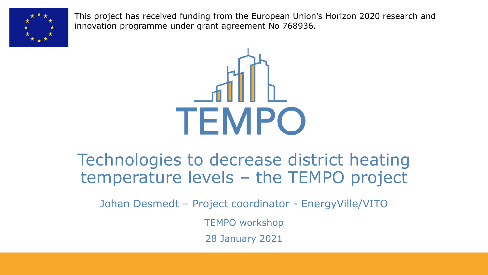

This project has received funding from the European Union's Horizon 2020 research and innovation programme under grant agreement No 768936.



#### Technologies to decrease district heating temperature levels – the TEMPO project

Johan Desmedt – Project coordinator - EnergyVille/VITO

TEMPO workshop

28 January 2021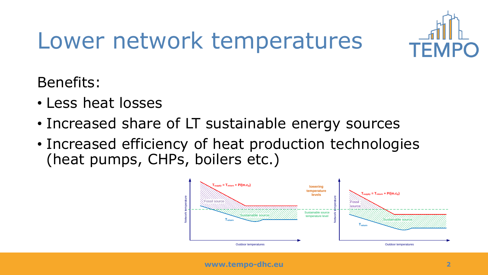

# Lower network temperatures

Benefits:

- Less heat losses
- Increased share of LT sustainable energy sources
- Increased efficiency of heat production technologies (heat pumps, CHPs, boilers etc.)

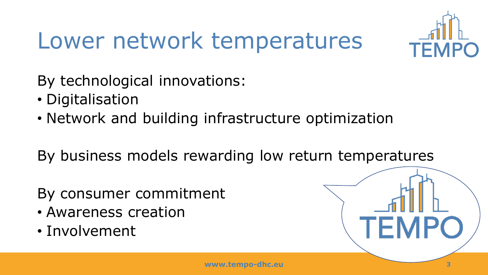

## Lower network temperatures

By technological innovations:

- Digitalisation
- Network and building infrastructure optimization

By business models rewarding low return temperatures

By consumer commitment

- Awareness creation
- Involvement

**TEMP**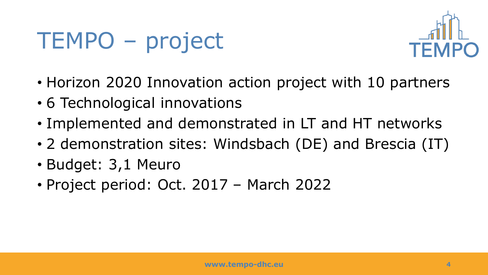## TEMPO – project



- Horizon 2020 Innovation action project with 10 partners
- 6 Technological innovations
- Implemented and demonstrated in LT and HT networks
- 2 demonstration sites: Windsbach (DE) and Brescia (IT)
- Budget: 3,1 Meuro
- Project period: Oct. 2017 March 2022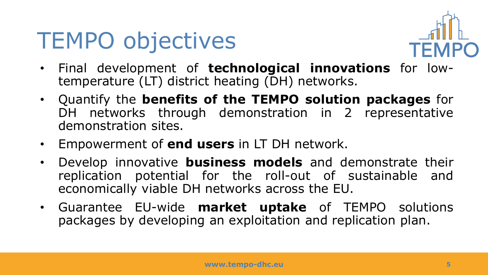#### TEMPO objectives



- Final development of **technological innovations** for lowtemperature (LT) district heating (DH) networks.
- Quantify the **benefits of the TEMPO solution packages** for DH networks through demonstration in 2 representative demonstration sites.
- Empowerment of **end users** in LT DH network.
- Develop innovative **business models** and demonstrate their replication potential for the roll-out of sustainable and economically viable DH networks across the EU.
- Guarantee EU-wide **market uptake** of TEMPO solutions packages by developing an exploitation and replication plan.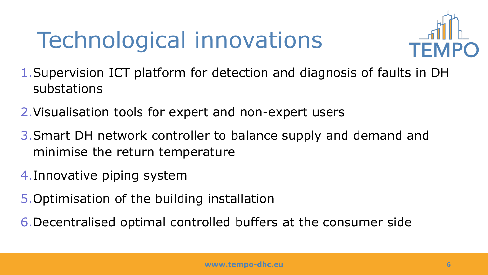# Technological innovations



- 1.Supervision ICT platform for detection and diagnosis of faults in DH substations
- 2.Visualisation tools for expert and non-expert users
- 3.Smart DH network controller to balance supply and demand and minimise the return temperature
- 4.Innovative piping system
- 5.Optimisation of the building installation
- 6.Decentralised optimal controlled buffers at the consumer side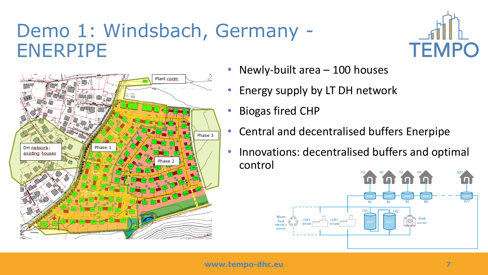#### Demo 1: Windsbach, Germany - ENERPIPE



- Newly-built area 100 houses
- Energy supply by LT DH network
- Biogas fired CHP
- Central and decentralised buffers Enerpipe
- Innovations: decentralised buffers and optimal control



**TEMPO**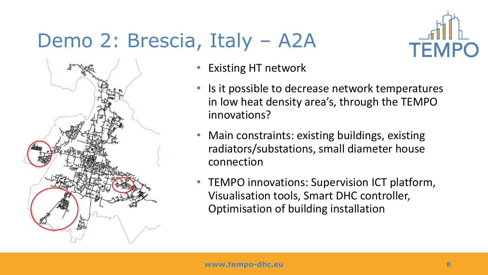#### Demo 2: Brescia, Italy – A2A





- Existing HT network
- Is it possible to decrease network temperatures in low heat density area's, through the TEMPO innovations?
- Main constraints: existing buildings, existing radiators/substations, small diameter house connection
- TEMPO innovations: Supervision ICT platform, Visualisation tools, Smart DHC controller, Optimisation of building installation